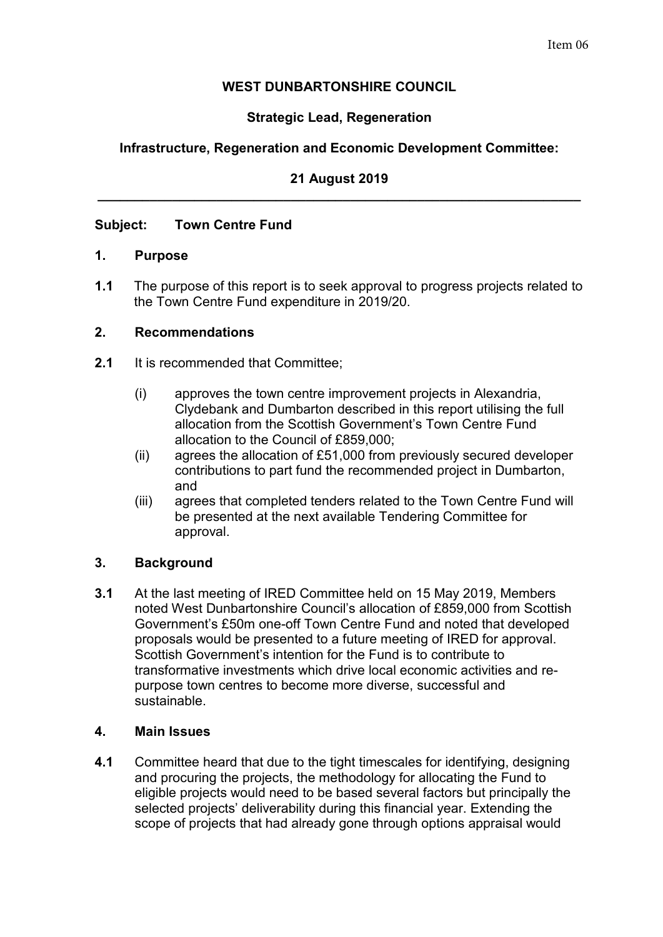## **WEST DUNBARTONSHIRE COUNCIL**

# **Strategic Lead, Regeneration**

## **Infrastructure, Regeneration and Economic Development Committee:**

### **21 August 2019 \_\_\_\_\_\_\_\_\_\_\_\_\_\_\_\_\_\_\_\_\_\_\_\_\_\_\_\_\_\_\_\_\_\_\_\_\_\_\_\_\_\_\_\_\_\_\_\_\_\_\_\_\_\_\_\_\_\_\_\_\_\_\_\_\_**

### **Subject: Town Centre Fund**

### **1. Purpose**

**1.1** The purpose of this report is to seek approval to progress projects related to the Town Centre Fund expenditure in 2019/20.

#### **2. Recommendations**

- **2.1** It is recommended that Committee;
	- (i) approves the town centre improvement projects in Alexandria, Clydebank and Dumbarton described in this report utilising the full allocation from the Scottish Government's Town Centre Fund allocation to the Council of £859,000;
	- (ii) agrees the allocation of £51,000 from previously secured developer contributions to part fund the recommended project in Dumbarton, and
	- (iii) agrees that completed tenders related to the Town Centre Fund will be presented at the next available Tendering Committee for approval.

## **3. Background**

**3.1** At the last meeting of IRED Committee held on 15 May 2019, Members noted West Dunbartonshire Council's allocation of £859,000 from Scottish Government's £50m one-off Town Centre Fund and noted that developed proposals would be presented to a future meeting of IRED for approval. Scottish Government's intention for the Fund is to contribute to transformative investments which drive local economic activities and repurpose town centres to become more diverse, successful and sustainable.

#### **4. Main Issues**

**4.1** Committee heard that due to the tight timescales for identifying, designing and procuring the projects, the methodology for allocating the Fund to eligible projects would need to be based several factors but principally the selected projects' deliverability during this financial year. Extending the scope of projects that had already gone through options appraisal would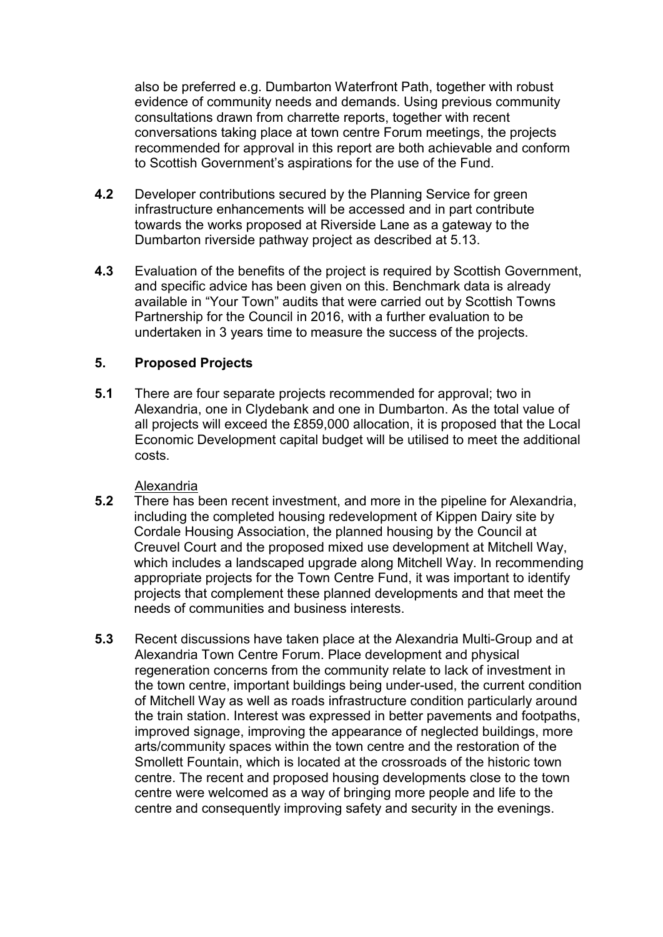also be preferred e.g. Dumbarton Waterfront Path, together with robust evidence of community needs and demands. Using previous community consultations drawn from charrette reports, together with recent conversations taking place at town centre Forum meetings, the projects recommended for approval in this report are both achievable and conform to Scottish Government's aspirations for the use of the Fund.

- **4.2** Developer contributions secured by the Planning Service for green infrastructure enhancements will be accessed and in part contribute towards the works proposed at Riverside Lane as a gateway to the Dumbarton riverside pathway project as described at 5.13.
- **4.3** Evaluation of the benefits of the project is required by Scottish Government, and specific advice has been given on this. Benchmark data is already available in "Your Town" audits that were carried out by Scottish Towns Partnership for the Council in 2016, with a further evaluation to be undertaken in 3 years time to measure the success of the projects.

### **5. Proposed Projects**

**5.1** There are four separate projects recommended for approval; two in Alexandria, one in Clydebank and one in Dumbarton. As the total value of all projects will exceed the £859,000 allocation, it is proposed that the Local Economic Development capital budget will be utilised to meet the additional costs.

#### Alexandria

- **5.2** There has been recent investment, and more in the pipeline for Alexandria, including the completed housing redevelopment of Kippen Dairy site by Cordale Housing Association, the planned housing by the Council at Creuvel Court and the proposed mixed use development at Mitchell Way, which includes a landscaped upgrade along Mitchell Way. In recommending appropriate projects for the Town Centre Fund, it was important to identify projects that complement these planned developments and that meet the needs of communities and business interests.
- **5.3** Recent discussions have taken place at the Alexandria Multi-Group and at Alexandria Town Centre Forum. Place development and physical regeneration concerns from the community relate to lack of investment in the town centre, important buildings being under-used, the current condition of Mitchell Way as well as roads infrastructure condition particularly around the train station. Interest was expressed in better pavements and footpaths, improved signage, improving the appearance of neglected buildings, more arts/community spaces within the town centre and the restoration of the Smollett Fountain, which is located at the crossroads of the historic town centre. The recent and proposed housing developments close to the town centre were welcomed as a way of bringing more people and life to the centre and consequently improving safety and security in the evenings.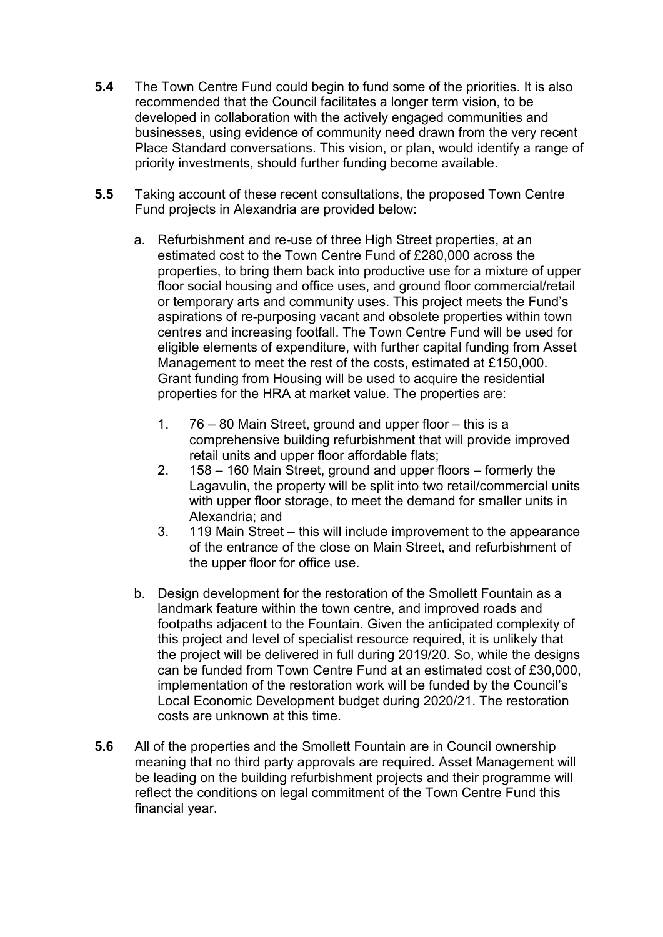- **5.4** The Town Centre Fund could begin to fund some of the priorities. It is also recommended that the Council facilitates a longer term vision, to be developed in collaboration with the actively engaged communities and businesses, using evidence of community need drawn from the very recent Place Standard conversations. This vision, or plan, would identify a range of priority investments, should further funding become available.
- **5.5** Taking account of these recent consultations, the proposed Town Centre Fund projects in Alexandria are provided below:
	- a. Refurbishment and re-use of three High Street properties, at an estimated cost to the Town Centre Fund of £280,000 across the properties, to bring them back into productive use for a mixture of upper floor social housing and office uses, and ground floor commercial/retail or temporary arts and community uses. This project meets the Fund's aspirations of re-purposing vacant and obsolete properties within town centres and increasing footfall. The Town Centre Fund will be used for eligible elements of expenditure, with further capital funding from Asset Management to meet the rest of the costs, estimated at £150,000. Grant funding from Housing will be used to acquire the residential properties for the HRA at market value. The properties are:
		- 1. 76 80 Main Street, ground and upper floor this is a comprehensive building refurbishment that will provide improved retail units and upper floor affordable flats;
		- 2. 158 160 Main Street, ground and upper floors formerly the Lagavulin, the property will be split into two retail/commercial units with upper floor storage, to meet the demand for smaller units in Alexandria; and
		- 3. 119 Main Street this will include improvement to the appearance of the entrance of the close on Main Street, and refurbishment of the upper floor for office use.
	- b. Design development for the restoration of the Smollett Fountain as a landmark feature within the town centre, and improved roads and footpaths adjacent to the Fountain. Given the anticipated complexity of this project and level of specialist resource required, it is unlikely that the project will be delivered in full during 2019/20. So, while the designs can be funded from Town Centre Fund at an estimated cost of £30,000, implementation of the restoration work will be funded by the Council's Local Economic Development budget during 2020/21. The restoration costs are unknown at this time.
- **5.6** All of the properties and the Smollett Fountain are in Council ownership meaning that no third party approvals are required. Asset Management will be leading on the building refurbishment projects and their programme will reflect the conditions on legal commitment of the Town Centre Fund this financial year.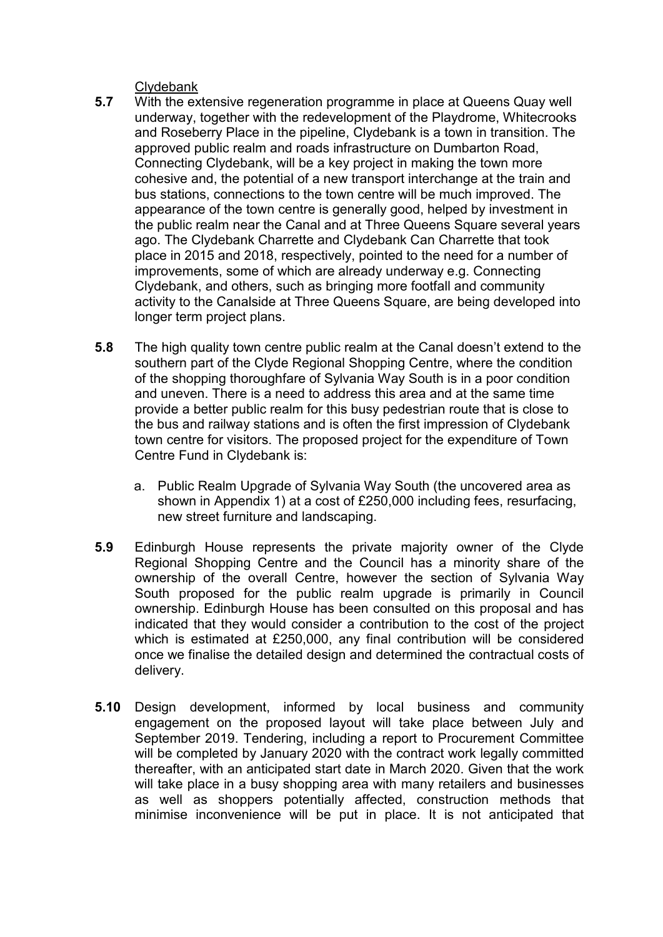Clydebank

- **5.7** With the extensive regeneration programme in place at Queens Quay well underway, together with the redevelopment of the Playdrome, Whitecrooks and Roseberry Place in the pipeline, Clydebank is a town in transition. The approved public realm and roads infrastructure on Dumbarton Road, Connecting Clydebank, will be a key project in making the town more cohesive and, the potential of a new transport interchange at the train and bus stations, connections to the town centre will be much improved. The appearance of the town centre is generally good, helped by investment in the public realm near the Canal and at Three Queens Square several years ago. The Clydebank Charrette and Clydebank Can Charrette that took place in 2015 and 2018, respectively, pointed to the need for a number of improvements, some of which are already underway e.g. Connecting Clydebank, and others, such as bringing more footfall and community activity to the Canalside at Three Queens Square, are being developed into longer term project plans.
- **5.8** The high quality town centre public realm at the Canal doesn't extend to the southern part of the Clyde Regional Shopping Centre, where the condition of the shopping thoroughfare of Sylvania Way South is in a poor condition and uneven. There is a need to address this area and at the same time provide a better public realm for this busy pedestrian route that is close to the bus and railway stations and is often the first impression of Clydebank town centre for visitors. The proposed project for the expenditure of Town Centre Fund in Clydebank is:
	- a. Public Realm Upgrade of Sylvania Way South (the uncovered area as shown in Appendix 1) at a cost of £250,000 including fees, resurfacing, new street furniture and landscaping.
- **5.9** Edinburgh House represents the private majority owner of the Clyde Regional Shopping Centre and the Council has a minority share of the ownership of the overall Centre, however the section of Sylvania Way South proposed for the public realm upgrade is primarily in Council ownership. Edinburgh House has been consulted on this proposal and has indicated that they would consider a contribution to the cost of the project which is estimated at £250,000, any final contribution will be considered once we finalise the detailed design and determined the contractual costs of delivery.
- **5.10** Design development, informed by local business and community engagement on the proposed layout will take place between July and September 2019. Tendering, including a report to Procurement Committee will be completed by January 2020 with the contract work legally committed thereafter, with an anticipated start date in March 2020. Given that the work will take place in a busy shopping area with many retailers and businesses as well as shoppers potentially affected, construction methods that minimise inconvenience will be put in place. It is not anticipated that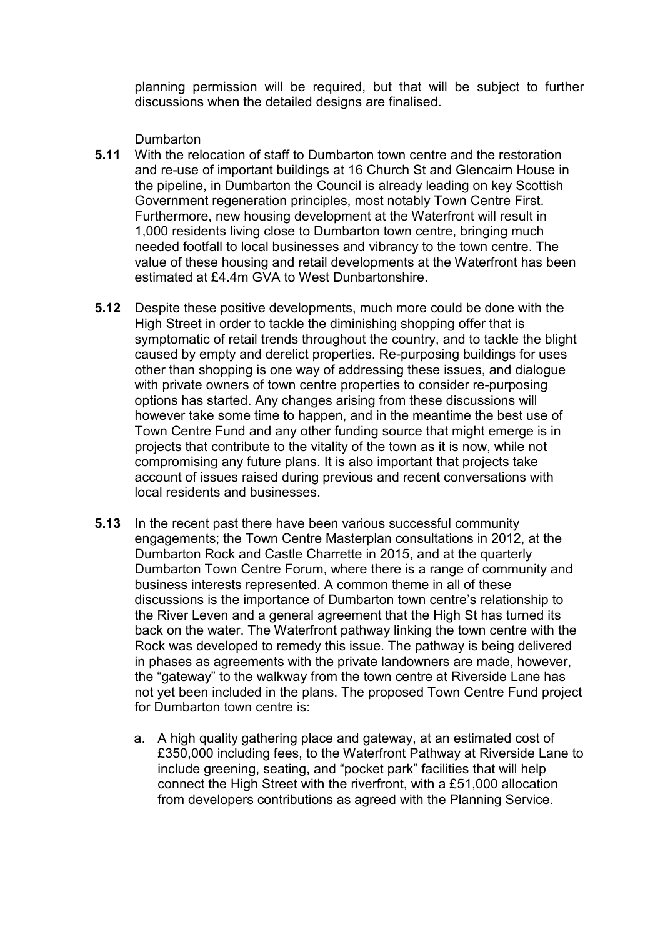planning permission will be required, but that will be subject to further discussions when the detailed designs are finalised.

Dumbarton

- **5.11** With the relocation of staff to Dumbarton town centre and the restoration and re-use of important buildings at 16 Church St and Glencairn House in the pipeline, in Dumbarton the Council is already leading on key Scottish Government regeneration principles, most notably Town Centre First. Furthermore, new housing development at the Waterfront will result in 1,000 residents living close to Dumbarton town centre, bringing much needed footfall to local businesses and vibrancy to the town centre. The value of these housing and retail developments at the Waterfront has been estimated at £4.4m GVA to West Dunbartonshire.
- **5.12** Despite these positive developments, much more could be done with the High Street in order to tackle the diminishing shopping offer that is symptomatic of retail trends throughout the country, and to tackle the blight caused by empty and derelict properties. Re-purposing buildings for uses other than shopping is one way of addressing these issues, and dialogue with private owners of town centre properties to consider re-purposing options has started. Any changes arising from these discussions will however take some time to happen, and in the meantime the best use of Town Centre Fund and any other funding source that might emerge is in projects that contribute to the vitality of the town as it is now, while not compromising any future plans. It is also important that projects take account of issues raised during previous and recent conversations with local residents and businesses.
- **5.13** In the recent past there have been various successful community engagements; the Town Centre Masterplan consultations in 2012, at the Dumbarton Rock and Castle Charrette in 2015, and at the quarterly Dumbarton Town Centre Forum, where there is a range of community and business interests represented. A common theme in all of these discussions is the importance of Dumbarton town centre's relationship to the River Leven and a general agreement that the High St has turned its back on the water. The Waterfront pathway linking the town centre with the Rock was developed to remedy this issue. The pathway is being delivered in phases as agreements with the private landowners are made, however, the "gateway" to the walkway from the town centre at Riverside Lane has not yet been included in the plans. The proposed Town Centre Fund project for Dumbarton town centre is:
	- a. A high quality gathering place and gateway, at an estimated cost of £350,000 including fees, to the Waterfront Pathway at Riverside Lane to include greening, seating, and "pocket park" facilities that will help connect the High Street with the riverfront, with a £51,000 allocation from developers contributions as agreed with the Planning Service.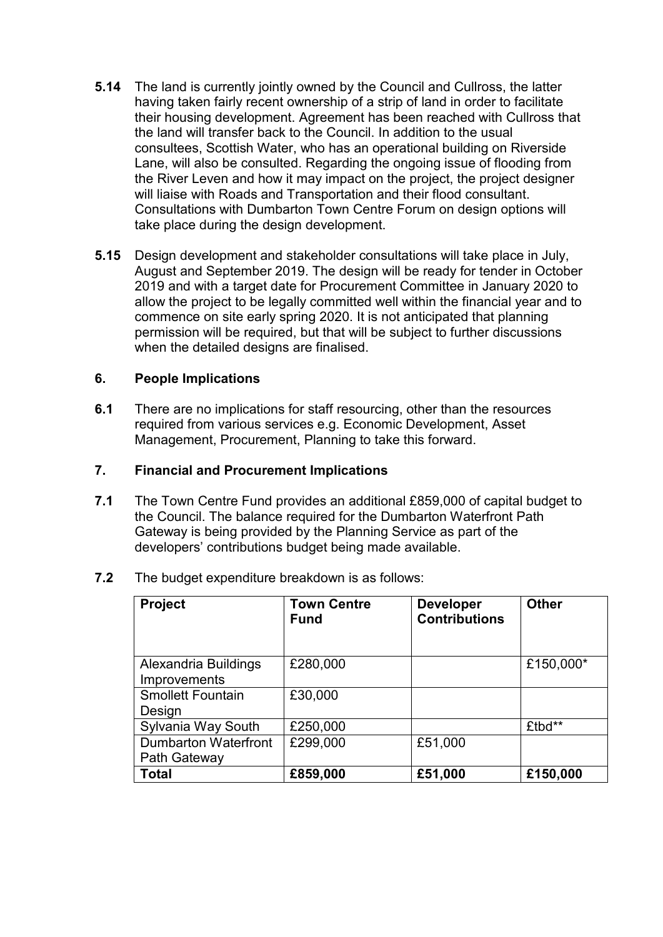- **5.14** The land is currently jointly owned by the Council and Cullross, the latter having taken fairly recent ownership of a strip of land in order to facilitate their housing development. Agreement has been reached with Cullross that the land will transfer back to the Council. In addition to the usual consultees, Scottish Water, who has an operational building on Riverside Lane, will also be consulted. Regarding the ongoing issue of flooding from the River Leven and how it may impact on the project, the project designer will liaise with Roads and Transportation and their flood consultant. Consultations with Dumbarton Town Centre Forum on design options will take place during the design development.
- **5.15** Design development and stakeholder consultations will take place in July, August and September 2019. The design will be ready for tender in October 2019 and with a target date for Procurement Committee in January 2020 to allow the project to be legally committed well within the financial year and to commence on site early spring 2020. It is not anticipated that planning permission will be required, but that will be subject to further discussions when the detailed designs are finalised.

### **6. People Implications**

**6.1** There are no implications for staff resourcing, other than the resources required from various services e.g. Economic Development, Asset Management, Procurement, Planning to take this forward.

### **7. Financial and Procurement Implications**

**7.1** The Town Centre Fund provides an additional £859,000 of capital budget to the Council. The balance required for the Dumbarton Waterfront Path Gateway is being provided by the Planning Service as part of the developers' contributions budget being made available.

| <b>Project</b>                              | <b>Town Centre</b><br><b>Fund</b> | <b>Developer</b><br><b>Contributions</b> | <b>Other</b> |
|---------------------------------------------|-----------------------------------|------------------------------------------|--------------|
| Alexandria Buildings<br><b>Improvements</b> | £280,000                          |                                          | £150,000*    |
| <b>Smollett Fountain</b><br>Design          | £30,000                           |                                          |              |
| Sylvania Way South                          | £250,000                          |                                          | £tbd**       |
| Dumbarton Waterfront<br>Path Gateway        | £299,000                          | £51,000                                  |              |
| <b>Total</b>                                | £859,000                          | £51,000                                  | £150,000     |

**7.2** The budget expenditure breakdown is as follows: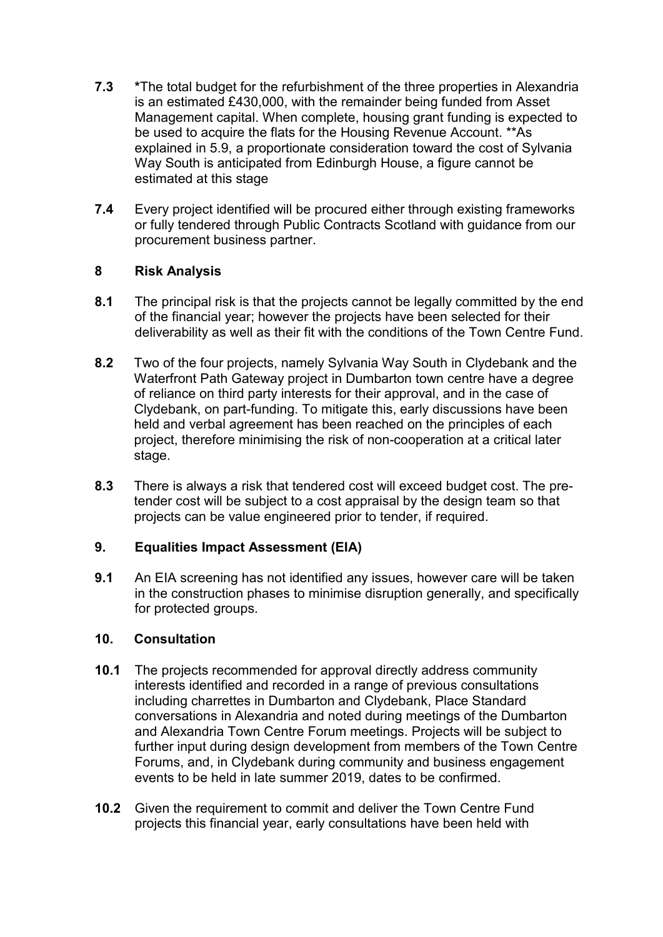- **7.3 \***The total budget for the refurbishment of the three properties in Alexandria is an estimated £430,000, with the remainder being funded from Asset Management capital. When complete, housing grant funding is expected to be used to acquire the flats for the Housing Revenue Account. \*\*As explained in 5.9, a proportionate consideration toward the cost of Sylvania Way South is anticipated from Edinburgh House, a figure cannot be estimated at this stage
- **7.4** Every project identified will be procured either through existing frameworks or fully tendered through Public Contracts Scotland with guidance from our procurement business partner.

## **8 Risk Analysis**

- **8.1** The principal risk is that the projects cannot be legally committed by the end of the financial year; however the projects have been selected for their deliverability as well as their fit with the conditions of the Town Centre Fund.
- **8.2** Two of the four projects, namely Sylvania Way South in Clydebank and the Waterfront Path Gateway project in Dumbarton town centre have a degree of reliance on third party interests for their approval, and in the case of Clydebank, on part-funding. To mitigate this, early discussions have been held and verbal agreement has been reached on the principles of each project, therefore minimising the risk of non-cooperation at a critical later stage.
- **8.3** There is always a risk that tendered cost will exceed budget cost. The pretender cost will be subject to a cost appraisal by the design team so that projects can be value engineered prior to tender, if required.

## **9. Equalities Impact Assessment (EIA)**

**9.1** An EIA screening has not identified any issues, however care will be taken in the construction phases to minimise disruption generally, and specifically for protected groups.

## **10. Consultation**

- **10.1** The projects recommended for approval directly address community interests identified and recorded in a range of previous consultations including charrettes in Dumbarton and Clydebank, Place Standard conversations in Alexandria and noted during meetings of the Dumbarton and Alexandria Town Centre Forum meetings. Projects will be subject to further input during design development from members of the Town Centre Forums, and, in Clydebank during community and business engagement events to be held in late summer 2019, dates to be confirmed.
- **10.2** Given the requirement to commit and deliver the Town Centre Fund projects this financial year, early consultations have been held with